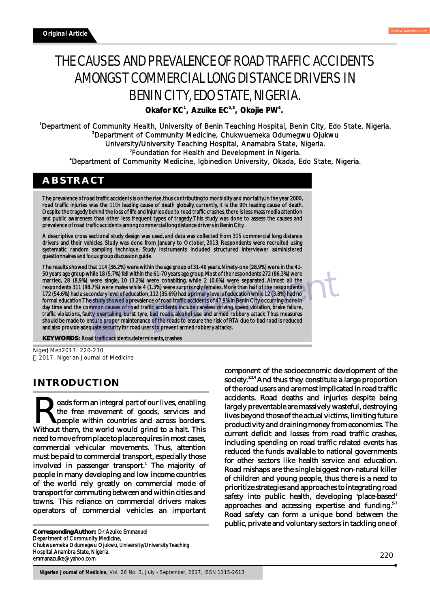# THE CAUSES AND PREVALENCE OF ROAD TRAFFIC ACCIDENTS AMONGST COMMERCIAL LONG DISTANCE DRIVERS IN BENIN CITY, EDO STATE, NIGERIA.

**<sup>1</sup> 2,3 <sup>4</sup> Okafor KC , Azuike EC , Okojie PW .** 

Department of Community Health, University of Benin Teaching Hospital, Benin City, Edo State, Nigeria. Department of Community Medicine, Chukwuemeka Odumegwu Ojukwu University/University Teaching Hospital, Anamabra State, Nigeria. Foundation for Health and Development in Nigeria. Department of Community Medicine, Igbinedion University, Okada, Edo State, Nigeria.

## **ABSTRACT**

The prevalence of road traffic accidents is on the rise, thus contributing to morbidity and mortality. In the year 2000, road traffic injuries was the 11th leading cause of death globally, currently, it is the 9th leading cause of death. Despite the tragedy behind the loss of life and injuries due to road traffic crashes, there is less mass media attention and public awareness than other less frequent types of tragedy. This study was done to assess the causes and prevalence of road traffic accidents among commercial long distance drivers in Benin City.

A descriptive cross sectional study design was used, and data was collected from 315 commercial long distance drivers and their vehicles. Study was done from January to October, 2013. Respondents were recruited using systematic random sampling technique. Study instruments included structured interviewer administered questionnaires and focus group discussion guide.

The results showed that 114 (36.2%) were within the age group of 31-40 years. Ninety-one (28.9%) were in the 41- 50 years age group while 18 (5.7%) fell within the 61-70 years age group. Most of the respondents 272 (86.3%) were married, 28 (8.9%) were single, 10 (3.2%) were cohabiting, while 2 (0.6%) were separated. Almost all the respondents 311 (98.7%) were males while 4 (1.3%) were surprisingly females. More than half of the respondents 172 (54.6%) had a secondary level of education, 112 (35.6%) had a primary level of education while 12 (3.8%) had no formal education. The study showed a prevalence of road traffic accidents of 47.9% in Benin City occurring more in day time and the common causes of road traffic accidents include careless driving, speed violation, brake failure, traffic violations, faulty overtaking, burst tyre, bad roads, alcohol use and armed robbery attack. Thus measures should be made to ensure proper maintenance of the roads to ensure the risk of RTA due to bad road is reduced and also provide adequate security for road users to prevent armed robbery attacks.

**KEY WORDS:** Road traffic accidents, determinants, crashes

NigerJMed2017: 220-230 2017. Nigerian Journal of Medicine

# **INTRODUCTION**

oads form an integral part of our lives, enabling **the free movement of goods, services and people within countries and across borders.** Without them, the world would grind to a halt. This need to move from place to place requires in most cases, commercial vehicular movements. Thus, attention must be paid to commercial transport, especially those involved in passenger transport.<sup>1</sup> The majority of people in many developing and low income countries of the world rely greatly on commercial mode of transport for commuting between and within cities and towns. This reliance on commercial drivers makes operators of commercial vehicles an important

**Corresponding Author:** Dr. Azuike Emmanuel Department of Community Medicine, Chukwuemeka Odumegwu Ojukwu, University/University Teaching Hospital, Anambra State, Nigeria. emmanazuike@yahoo.com

component of the socioeconomic development of the society.<sup>2,3,4</sup> And thus they constitute a large proportion of the road users and are most implicated in road traffic accidents. Road deaths and injuries despite being largely preventable are massively wasteful, destroying lives beyond those of the actual victims, limiting future productivity and draining money from economies. The current deficit and losses from road traffic crashes, including spending on road traffic related events has reduced the funds available to national governments for other sectors like health service and education. Road mishaps are the single biggest non-natural killer of children and young people, thus there is a need to prioritize strategies and approaches to integrating road safety into public health, developing 'place-based' approaches and accessing expertise and funding. $57$ Road safety can form a unique bond between the public, private and voluntary sectors in tackling one of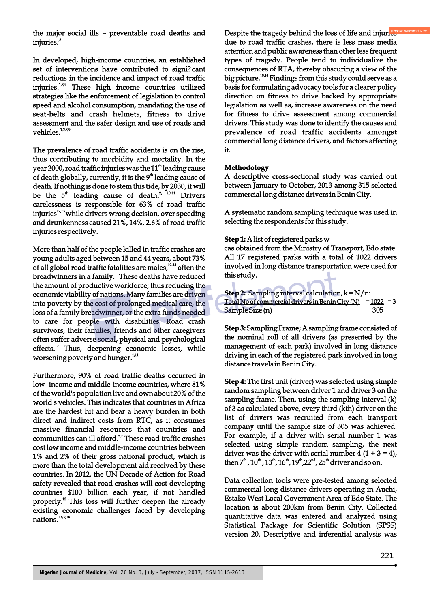the major social ills – preventable road deaths and injuries.<sup>6</sup>

In developed, high-income countries, an established set of interventions have contributed to signi? cant reductions in the incidence and impact of road traffic injuries.<sup>1,8,9</sup> These high income countries utilized strategies like the enforcement of legislation to control speed and alcohol consumption, mandating the use of seat-belts and crash helmets, fitness to drive assessment and the safer design and use of roads and vehicles.<sup>1,28,9</sup>

The prevalence of road traffic accidents is on the rise, thus contributing to morbidity and mortality. In the year 2000, road traffic injuries was the  $11<sup>th</sup>$  leading cause of death globally, currently, it is the  $9<sup>th</sup>$  leading cause of death. If nothing is done to stem this tide, by 2030, it will be the  $5<sup>th</sup>$  leading cause of death.<sup>2</sup><sup>10,11</sup> Drivers carelessness is responsible for 63% of road traffic injuries<sup>12,13</sup> while drivers wrong decision, over speeding and drunkenness caused 21%, 14%, 2.6% of road traffic injuries respectively.

More than half of the people killed in traffic crashes are young adults aged between 15 and 44 years, about 73% of all global road traffic fatalities are males, $^{12.14}$  often the breadwinners in a family. These deaths have reduced the amount of productive workforce; thus reducing the economic viability of nations. Many families are driven into poverty by the cost of prolonged medical care, the loss of a family breadwinner, or the extra funds needed to care for people with disabilities. Road crash survivors, their families, friends and other caregivers often suffer adverse social, physical and psychological  $effects.<sup>12</sup>$  Thus, deepening economic losses, while worsening poverty and hunger.<sup>1,11</sup>

Furthermore, 90% of road traffic deaths occurred in low- income and middle-income countries, where 81% of the world's population live and own about 20% of the world's vehicles. This indicates that countries in Africa are the hardest hit and bear a heavy burden in both direct and indirect costs from RTC, as it consumes massive financial resources that countries and communities can ill afford.<sup>57</sup> These road traffic crashes cost low income and middle-income countries between 1% and 2% of their gross national product, which is more than the total development aid received by these countries. In 2012, the UN Decade of Action for Road safety revealed that road crashes will cost developing countries \$100 billion each year, if not handled properly. $^{12}$  This loss will further deepen the already existing economic challenges faced by developing nations.<sup>1,8,9,14</sup>

Despite the tragedy behind the loss of life and injuries due to road traffic crashes, there is less mass media attention and public awareness than other less frequent types of tragedy. People tend to individualize the consequences of RTA, thereby obscuring a view of the big picture.<sup>15,16</sup> Findings from this study could serve as a basis for formulating advocacy tools for a clearer policy direction on fitness to drive backed by appropriate legislation as well as, increase awareness on the need for fitness to drive assessment among commercial drivers. This study was done to identify the causes and prevalence of road traffic accidents amongst commercial long distance drivers, and factors affecting it.

## **Methodology**

A descriptive cross-sectional study was carried out between January to October, 2013 among 315 selected commercial long distance drivers in Benin City.

A systematic random sampling technique was used in selecting the respondents for this study.

#### **Step 1:** A list of registered parks w

cas obtained from the Ministry of Transport, Edo state. All 17 registered parks with a total of 1022 drivers involved in long distance transportation were used for this study.

**Step 2:** Sampling interval calculation, k = N/n: Total No of commercial drivers in Benin City  $(N) = 1022 = 3$ Sample Size (n) 305

**Step 3:** Sampling Frame; A sampling frame consisted of the nominal roll of all drivers (as presented by the management of each park) involved in long distance driving in each of the registered park involved in long distance travels in Benin City.

**Step 4:** The first unit (driver) was selected using simple random sampling between driver 1 and driver 3 on the sampling frame. Then, using the sampling interval (k) of 3 as calculated above, every third (kth) driver on the list of drivers was recruited from each transport company until the sample size of 305 was achieved. For example, if a driver with serial number 1 was selected using simple random sampling, the next driver was the driver with serial number  $4(1 + 3 = 4)$ , then  $7^{\text{th}}$ ,  $10^{\text{th}}$ ,  $13^{\text{th}}$ ,  $16^{\text{th}}$ ,  $19^{\text{th}}$ ,  $22^{\text{nd}}$ ,  $25^{\text{th}}$  driver and so on.

Data collection tools were pre-tested among selected commercial long distance drivers operating in Auchi, Estako West Local Government Area of Edo State. The location is about 200km from Benin City. Collected quantitative data was entered and analyzed using Statistical Package for Scientific Solution (SPSS) version 20. Descriptive and inferential analysis was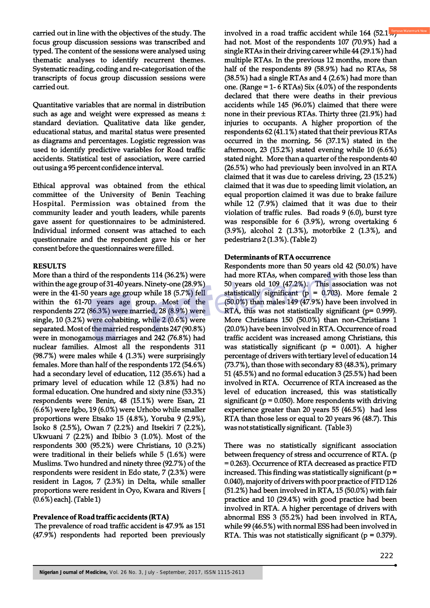carried out in line with the objectives of the study. The focus group discussion sessions was transcribed and typed. The content of the sessions were analysed using thematic analyses to identify recurrent themes. Systematic reading, coding and re-categorisation of the transcripts of focus group discussion sessions were carried out.

Quantitative variables that are normal in distribution such as age and weight were expressed as means  $\pm$ standard deviation. Qualitative data like gender, educational status, and marital status were presented as diagrams and percentages. Logistic regression was used to identify predictive variables for Road traffic accidents. Statistical test of association, were carried out using a 95 percent confidence interval.

Ethical approval was obtained from the ethical committee of the University of Benin Teaching Hospital. Permission was obtained from the community leader and youth leaders, while parents gave assent for questionnaires to be administered. Individual informed consent was attached to each questionnaire and the respondent gave his or her consent before the questionnaires were filled.

## **RESULTS**

More than a third of the respondents 114 (36.2%) were within the age group of 31-40 years. Ninety-one (28.9%) were in the 41-50 years age group while 18 (5.7%) fell within the 61-70 years age group. Most of the respondents 272 (86.3%) were married, 28 (8.9%) were single, 10 (3.2%) were cohabiting, while 2 (0.6%) were separated. Most of the married respondents 247 (90.8%) were in monogamous marriages and 242 (76.8%) had nuclear families. Almost all the respondents 311 (98.7%) were males while 4 (1.3%) were surprisingly females. More than half of the respondents 172 (54.6%) had a secondary level of education, 112 (35.6%) had a primary level of education while 12 (3.8%) had no formal education. One hundred and sixty nine (53.3%) respondents were Benin, 48 (15.1%) were Esan, 21 (6.6%) were Igbo, 19 (6.0%) were Urhobo while smaller proportions were Etsako 15 (4.8%), Yoruba 9 (2.9%), Isoko 8 (2.5%), Owan 7 (2.2%) and Itsekiri 7 (2.2%), Ukwuani 7 (2.2%) and Ibibio 3 (1.0%). Most of the respondents 300 (95.2%) were Christians, 10 (3.2%) were traditional in their beliefs while 5 (1.6%) were Muslims. Two hundred and ninety three (92.7%) of the respondents were resident in Edo state, 7 (2.3%) were resident in Lagos, 7 (2.3%) in Delta, while smaller proportions were resident in Oyo, Kwara and Rivers [ (0.6%) each]. (Table 1)

## **Prevalence of Road traffic accidents (RTA)**

 The prevalence of road traffic accident is 47.9% as 151 (47.9%) respondents had reported been previously involved in a road traffic accident while  $164$  (52.1<sup>,88</sup>) had not. Most of the respondents 107 (70.9%) had a single RTAs in their driving career while 44 (29.1%) had multiple RTAs. In the previous 12 months, more than half of the respondents 89 (58.9%) had no RTAs, 58 (38.5%) had a single RTAs and 4 (2.6%) had more than one. (Range =  $1-6$  RTAs) Six (4.0%) of the respondents declared that there were deaths in their previous accidents while 145 (96.0%) claimed that there were none in their previous RTAs. Thirty three (21.9%) had injuries to occupants. A higher proportion of the respondents 62 (41.1%) stated that their previous RTAs occurred in the morning, 56 (37.1%) stated in the afternoon, 23 (15.2%) stated evening while 10 (6.6%) stated night. More than a quarter of the respondents 40 (26.5%) who had previously been involved in an RTA claimed that it was due to careless driving, 23 (15.2%) claimed that it was due to speeding limit violation, an equal proportion claimed it was due to brake failure while 12 (7.9%) claimed that it was due to their violation of traffic rules. Bad roads 9 (6.0), burst tyre was responsible for 6 (3.9%), wrong overtaking 6 (3.9%), alcohol 2 (1.3%), motorbike 2 (1.3%), and pedestrians 2 (1.3%). (Table 2)

#### **Determinants of RTA occurrence**

Respondents more than 50 years old 42 (50.0%) have had more RTAs, when compared with those less than 50 years old 109 (47.2%). This association was not statistically significant ( $p = 0.703$ ). More female 2 (50.0%) than males 149 (47.9%) have been involved in RTA, this was not statistically significant (p= 0.999). More Christians 150 (50.0%) than non-Christians 1 (20.0%) have been involved in RTA. Occurrence of road traffic accident was increased among Christians, this was statistically significant ( $p = 0.001$ ). A higher percentage of drivers with tertiary level of education 14 (73.7%), than those with secondary 83 (48.3%), primary 51 (45.5%) and no formal education 3 (25.5%) had been involved in RTA. Occurrence of RTA increased as the level of education increased, this was statistically significant ( $p = 0.050$ ). More respondents with driving experience greater than 20 years 55 (46.5%) had less RTA than those less or equal to 20 years 96 (48.7). This was not statistically significant. (Table 3)

There was no statistically significant association between frequency of stress and occurrence of RTA. (p = 0.263). Occurrence of RTA decreased as practice FTD increased. This finding was statistically significant ( $p =$ 0.040), majority of drivers with poor practice of FTD 126 (51.2%) had been involved in RTA, 15 (50.0%) with fair practice and 10 (29.4%) with good practice had been involved in RTA. A higher percentage of drivers with abnormal ESS 3 (55.2%) had been involved in RTA, while 99 (46.5%) with normal ESS had been involved in RTA. This was not statistically significant ( $p = 0.379$ ).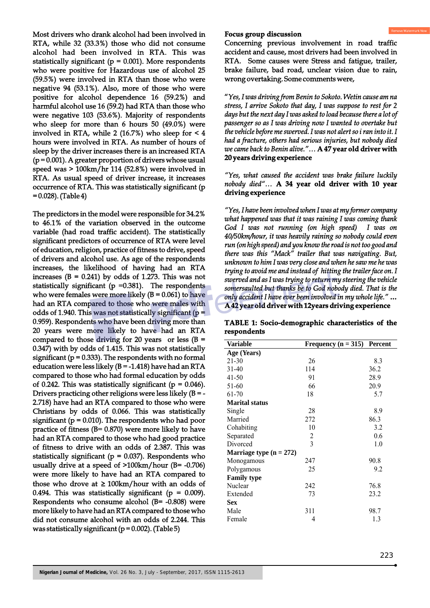Most drivers who drank alcohol had been involved in RTA, while 32 (33.3%) those who did not consume alcohol had been involved in RTA. This was statistically significant ( $p = 0.001$ ). More respondents who were positive for Hazardous use of alcohol 25 (59.5%) were involved in RTA than those who were negative 94 (53.1%). Also, more of those who were positive for alcohol dependence 16 (59.2%) and harmful alcohol use 16 (59.2) had RTA than those who were negative 103 (53.6%). Majority of respondents who sleep for more than 6 hours 50 (49.0%) were involved in RTA, while 2 (16.7%) who sleep for  $\leq 4$ hours were involved in RTA. As number of hours of sleep by the driver increases there is an increased RTA  $(p = 0.001)$ . A greater proportion of drivers whose usual speed was > 100km/hr 114 (52.8%) were involved in RTA. As usual speed of driver increase, it increases occurrence of RTA. This was statistically significant (p = 0.028). (Table 4)

The predictors in the model were responsible for 34.2% to 46.1% of the variation observed in the outcome variable (had road traffic accident). The statistically significant predictors of occurrence of RTA were level of education, religion, practice of fitness to drive, speed of drivers and alcohol use. As age of the respondents increases, the likelihood of having had an RTA increases  $(B = 0.241)$  by odds of 1.273. This was not statistically significant ( $p = 0.381$ ). The respondents who were females were more likely  $(B = 0.061)$  to have had an RTA compared to those who were males with odds of 1.940. This was not statistically significant ( $p =$ 0.959). Respondents who have been driving more than 20 years were more likely to have had an RTA compared to those driving for 20 years or less  $(B =$ 0.347) with by odds of 1.415. This was not statistically significant ( $p = 0.333$ ). The respondents with no formal education were less likely  $(B = -1.418)$  have had an RTA compared to those who had formal education by odds of 0.242. This was statistically significant ( $p = 0.046$ ). Drivers practicing other religions were less likely  $(B = -1)$ 2.718) have had an RTA compared to those who were Christians by odds of 0.066. This was statistically significant ( $p = 0.010$ ). The respondents who had poor practice of fitness (B= 0.870) were more likely to have had an RTA compared to those who had good practice of fitness to drive with an odds of 2.387. This was statistically significant ( $p = 0.037$ ). Respondents who usually drive at a speed of >100km/hour (B= -0.706) were more likely to have had an RTA compared to those who drove at  $\geq$  100km/hour with an odds of 0.494. This was statistically significant ( $p = 0.009$ ). Respondents who consume alcohol (B= -0.808) were more likely to have had an RTA compared to those who did not consume alcohol with an odds of 2.244. This was statistically significant ( $p = 0.002$ ). (Table 5)

#### **Focus group discussion**

Concerning previous involvement in road traffic accident and cause, most drivers had been involved in RTA. Some causes were Stress and fatigue, trailer, brake failure, bad road, unclear vision due to rain, wrong overtaking. Some comments were,

"*Yes, I was driving from Benin to Sokoto. Wetin cause am na stress, I arrive Sokoto that day, I was suppose to rest for 2 days but the next day I was asked to load because there a lot of passenger so as I was driving now I wanted to overtake but the vehicle before me swerved. I was not alert so i ran into it. I had a fracture, others had serious injuries, but nobody died we came back to Benin alive."…* **A 47 year old driver with 20 years driving experience**

*"Yes, what caused the accident was brake failure luckily nobody died"…* **A 34 year old driver with 10 year driving experience**

*"Yes, I have been involved when I was at my former company what happened was that it was raining I was coming thank God I was not running (on high speed) I was on 40/50km/hour, it was heavily raining so nobody could even run (on high speed) and you know the road is not too good and there was this "Mack" trailer that was navigating. But, unknown to him I was very close and when he saw me he was trying to avoid me and instead of hitting the trailer face on. I swerved and as I was trying to return my steering the vehicle somersaulted but thanks be to God nobody died. That is the only accident I have ever been involved in my whole life."* **… A 42 year old driver with 12years driving experience**

|             | TABLE 1: Socio-demographic characteristics of the |  |  |  |
|-------------|---------------------------------------------------|--|--|--|
| respondents |                                                   |  |  |  |

| <b>Variable</b>           | Frequency $(n = 315)$ | Percent |
|---------------------------|-----------------------|---------|
| Age (Years)               |                       |         |
| 21-30                     | 26                    | 8.3     |
| $31-40$                   | 114                   | 36.2    |
| 41-50                     | 91                    | 28.9    |
| 51-60                     | 66                    | 20.9    |
| 61-70                     | 18                    | 5.7     |
| <b>Marital status</b>     |                       |         |
| Single                    | 28                    | 8.9     |
| Married                   | 272                   | 86.3    |
| Cohabiting                | 10                    | 3.2     |
| Separated                 | 2                     | 0.6     |
| Divorced                  | $\overline{3}$        | 1.0     |
| Marriage type $(n = 272)$ |                       |         |
| Monogamous                | 247                   | 90.8    |
| Polygamous                | 25                    | 9.2     |
| <b>Family type</b>        |                       |         |
| Nuclear                   | 242                   | 76.8    |
| Extended                  | 73                    | 23.2    |
| Sex                       |                       |         |
| Male                      | 311                   | 98.7    |
| Female                    | 4                     | 1.3     |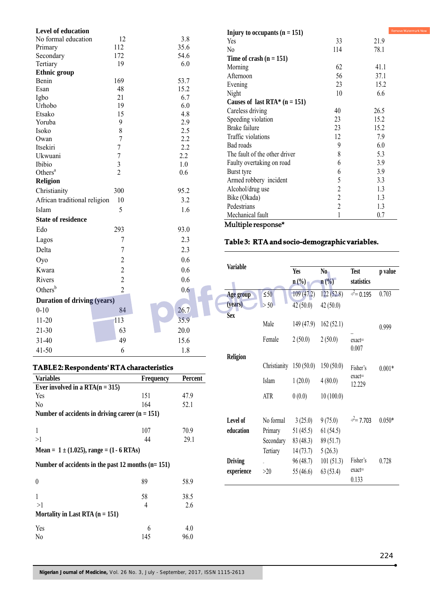| Level of education                 |                |      |
|------------------------------------|----------------|------|
| No formal education                | 12             | 3.8  |
| Primary                            | 112            | 35.6 |
| Secondary                          | 172            | 54.6 |
| Tertiary                           | 19             | 6.0  |
| <b>Ethnic</b> group                |                |      |
| Benin                              | 169            | 53.7 |
| Esan                               | 48             | 15.2 |
| Igbo                               | 21             | 6.7  |
| Urhobo                             | 19             | 6.0  |
| Etsako                             | 15             | 4.8  |
| Yoruba                             | 9              | 2.9  |
| Isoko                              | 8              | 2.5  |
| Owan                               | $\overline{7}$ | 2.2  |
| Itsekiri                           | 7              | 2.2  |
| Ukwuani                            | 7              | 2.2  |
| Ibibio                             | 3              | 1.0  |
| Others <sup>a</sup>                | $\overline{2}$ | 0.6  |
| <b>Religion</b>                    |                |      |
| Christianity                       | 300            | 95.2 |
| African traditional religion       | 10             | 3.2  |
| Islam                              | 5              | 1.6  |
| <b>State of residence</b>          |                |      |
| Edo                                | 293            | 93.0 |
| Lagos                              | 7              | 2.3  |
| Delta                              | 7              | 2.3  |
| Oyo                                | $\overline{c}$ | 0.6  |
| Kwara                              | $\overline{2}$ | 0.6  |
| Rivers                             | $\overline{c}$ | 0.6  |
| Others $b$                         | $\overline{c}$ | 0.6  |
| <b>Duration of driving (years)</b> |                |      |
| $0 - 10$                           | 84             | 26.7 |
| $11 - 20$                          | 113            | 35.9 |
| $21 - 30$                          | 63             | 20.0 |
| $31 - 40$                          | 49             | 15.6 |
| $41 - 50$                          | 6              | 1.8  |
|                                    |                |      |

## **TABLE 2: Respondents' RTA characteristics**

| <b>Variables</b>                                        | <b>Frequency</b> | Percent |
|---------------------------------------------------------|------------------|---------|
| Ever involved in a $RTA(n = 315)$                       |                  |         |
| Yes                                                     | 151              | 47.9    |
| No                                                      | 164              | 52.1    |
| Number of accidents in driving career $(n = 151)$       |                  |         |
|                                                         |                  |         |
| 1                                                       | 107              | 70.9    |
| >1                                                      | 44               | 29.1    |
| Mean = $1 \pm (1.025)$ , range = $(1 - 6 \text{ RTAs})$ |                  |         |
| Number of accidents in the past 12 months $(n=151)$     |                  |         |
| 0                                                       | 89               | 58.9    |
| 1                                                       | 58               | 38.5    |
| >1                                                      | 4                | 2.6     |
| Mortality in Last RTA $(n = 151)$                       |                  |         |
| Yes                                                     | 6                | 4.0     |
| No                                                      | 145              | 96.0    |
|                                                         |                  |         |

| Injury to occupants $(n = 151)$ |                | Rem  |
|---------------------------------|----------------|------|
| Yes                             | 33             | 21.9 |
| N <sub>0</sub>                  | 114            | 78.1 |
| Time of crash $(n = 151)$       |                |      |
| Morning                         | 62             | 41.1 |
| Afternoon                       | 56             | 37.1 |
| Evening                         | 23             | 15.2 |
| Night                           | 10             | 6.6  |
| Causes of last RTA* $(n = 151)$ |                |      |
| Careless driving                | 40             | 26.5 |
| Speeding violation              | 23             | 15.2 |
| Brake failure                   | 23             | 15.2 |
| Traffic violations              | 12             | 7.9  |
| Bad roads                       | 9              | 6.0  |
| The fault of the other driver   | 8              | 5.3  |
| Faulty overtaking on road       | 6              | 3.9  |
| Burst tyre                      | 6              | 3.9  |
| Armed robbery incident          | 5              | 3.3  |
| Alcohol/drug use                | $\overline{c}$ | 1.3  |
| Bike (Okada)                    | $\overline{c}$ | 1.3  |
| Pedestrians                     | $\overline{c}$ | 1.3  |
| Mechanical fault                | 1              | 0.7  |
| Multiple response*              |                |      |

Watermark Now

## **Table 3: RTA and socio-demographic variables.**

|    | <b>Variable</b> |           |                         |                             |                    |          |
|----|-----------------|-----------|-------------------------|-----------------------------|--------------------|----------|
|    |                 |           | <b>Yes</b>              | No                          | <b>Test</b>        | p value  |
|    |                 |           | $n$ (%)                 | $n\left(\frac{0}{0}\right)$ | statistics         |          |
|    | Age group       | $\leq 50$ | 109(47.2)               | 122(52.8)                   | $\div^2$ = 0.195   | 0.703    |
|    | (years)         | > 50      | 42(50.0)                | 42(50.0)                    |                    |          |
|    | <b>Sex</b>      |           |                         |                             |                    |          |
|    |                 | Male      | 149(47.9)               | 162(52.1)                   |                    | 0.999    |
|    |                 | Female    | 2(50.0)                 | 2(50.0)                     | $exact=$           |          |
|    |                 |           |                         |                             | 0.007              |          |
|    | <b>Religion</b> |           |                         |                             |                    |          |
|    |                 |           | Christianity 150 (50.0) | 150(50.0)                   | Fisher's           | $0.001*$ |
| nt |                 | Islam     | 1(20.0)                 | 4(80.0)                     | $exact=$<br>12.229 |          |
|    |                 | ATR       | 0(0.0)                  | 10(100.0)                   |                    |          |
|    |                 |           |                         |                             |                    |          |
|    | Level of        | No formal | 3(25.0)                 | 9(75.0)                     | $\div^2$ = 7.703   | $0.050*$ |
|    | education       | Primary   | 51 (45.5)               | 61(54.5)                    |                    |          |
|    |                 | Secondary | 83 (48.3)               | 89(51.7)                    |                    |          |
|    |                 | Tertiary  | 14(73.7)                | 5(26.3)                     |                    |          |
|    | <b>Driving</b>  |           | 96 (48.7)               | 101(51.3)                   | Fisher's           | 0.728    |
|    |                 |           |                         |                             | $exact=$           |          |
|    | experience      | >20       | 55 (46.6)               | 63(53.4)                    | 0.133              |          |
|    |                 |           |                         |                             |                    |          |

ė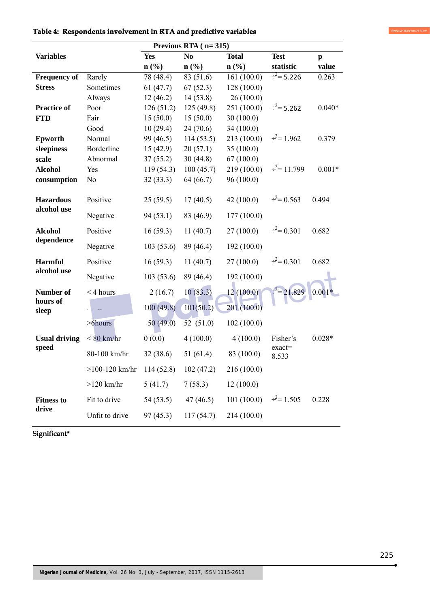|                              | Previous RTA $(n=315)$ |            |                             |                             |                         |              |  |
|------------------------------|------------------------|------------|-----------------------------|-----------------------------|-------------------------|--------------|--|
| <b>Variables</b>             |                        | <b>Yes</b> | N <sub>0</sub>              | <b>Total</b>                | <b>Test</b>             | $\mathbf{p}$ |  |
|                              |                        | n(%)       | $n\left(\frac{0}{0}\right)$ | $n\left(\frac{9}{6}\right)$ | statistic               | value        |  |
| <b>Frequency of</b>          | Rarely                 | 78 (48.4)  | 83 (51.6)                   | 161(100.0)                  | $\frac{2}{x^2}$ = 5.226 | 0.263        |  |
| <b>Stress</b>                | Sometimes              | 61(47.7)   | 67(52.3)                    | 128(100.0)                  |                         |              |  |
|                              | Always                 | 12(46.2)   | 14(53.8)                    | 26(100.0)                   |                         |              |  |
| <b>Practice of</b>           | Poor                   | 126(51.2)  | 125(49.8)                   | 251 (100.0)                 | $\div^2$ = 5.262        | $0.040*$     |  |
| <b>FTD</b>                   | Fair                   | 15(50.0)   | 15(50.0)                    | 30(100.0)                   |                         |              |  |
|                              | Good                   | 10(29.4)   | 24(70.6)                    | 34(100.0)                   |                         |              |  |
| <b>Epworth</b>               | Normal                 | 99 (46.5)  | 114(53.5)                   | 213(100.0)                  | $\frac{.2}{.}$ = 1.962  | 0.379        |  |
| sleepiness                   | Borderline             | 15(42.9)   | 20(57.1)                    | 35(100.0)                   |                         |              |  |
| scale                        | Abnormal               | 37(55.2)   | 30(44.8)                    | 67(100.0)                   |                         |              |  |
| <b>Alcohol</b>               | Yes                    | 119(54.3)  | 100(45.7)                   | 219(100.0)                  | $\frac{2}{2}$ = 11.799  | $0.001*$     |  |
| consumption                  | N <sub>o</sub>         | 32(33.3)   | 64 (66.7)                   | 96(100.0)                   |                         |              |  |
| <b>Hazardous</b>             | Positive               | 25(59.5)   | 17(40.5)                    | 42(100.0)                   | $\dot{=}$ = 0.563       | 0.494        |  |
| alcohol use                  | Negative               | 94(53.1)   | 83 (46.9)                   | 177(100.0)                  |                         |              |  |
| <b>Alcohol</b><br>dependence | Positive               | 16(59.3)   | 11(40.7)                    | 27(100.0)                   | $\dot{=}$ = 0.301       | 0.682        |  |
|                              | Negative               | 103(53.6)  | 89 (46.4)                   | 192 (100.0)                 |                         |              |  |
| <b>Harmful</b>               | Positive               | 16(59.3)   | 11(40.7)                    | 27(100.0)                   | $\div^2$ = 0.301        | 0.682        |  |
| alcohol use                  | Negative               | 103(53.6)  | 89 (46.4)                   | 192 (100.0)                 |                         |              |  |
| Number of                    | $<$ 4 hours            | 2(16.7)    | 10(83.3)                    | 12(100.0)                   | 21.829                  | $0.001*$     |  |
| hours of<br>sleep            |                        | 100(49.8)  | 101(50.2)                   | 201 (100.0)                 |                         |              |  |
|                              | $>6$ hours             | 50(49.0)   | 52 $(51.0)$                 | 102(100.0)                  |                         |              |  |
| <b>Usual driving</b>         | $< 80$ km/hr           | 0(0.0)     | 4(100.0)                    | 4(100.0)                    | Fisher's<br>$exact=$    | $0.028*$     |  |
| speed                        | 80-100 km/hr           | 32(38.6)   | 51(61.4)                    | 83 (100.0)                  | 8.533                   |              |  |
|                              | $>100 - 120$ km/hr     | 114(52.8)  | 102(47.2)                   | 216 (100.0)                 |                         |              |  |
|                              | $>120$ km/hr           | 5(41.7)    | 7(58.3)                     | 12(100.0)                   |                         |              |  |
| <b>Fitness to</b>            | Fit to drive           | 54 (53.5)  | 47(46.5)                    | 101(100.0)                  | $\div^2$ = 1.505        | 0.228        |  |
| drive                        | Unfit to drive         | 97(45.3)   | 117(54.7)                   | 214 (100.0)                 |                         |              |  |

**Table 4: Respondents involvement in RTA and predictive variables** 

Significant\*

Remove Watermark Now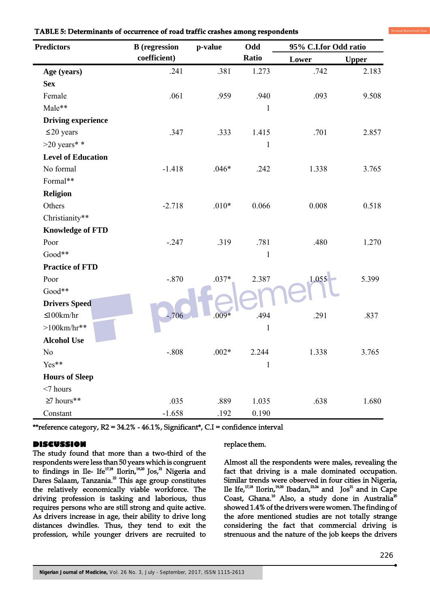| <b>Predictors</b>         | <b>B</b> (regression | p-value | Odd          | 95% C.I.for Odd ratio |              |
|---------------------------|----------------------|---------|--------------|-----------------------|--------------|
|                           | coefficient)         |         | Ratio        | Lower                 | <b>Upper</b> |
| Age (years)               | .241                 | .381    | 1.273        | .742                  | 2.183        |
| <b>Sex</b>                |                      |         |              |                       |              |
| Female                    | .061                 | .959    | .940         | .093                  | 9.508        |
| Male**                    |                      |         | $\mathbf{1}$ |                       |              |
| <b>Driving experience</b> |                      |         |              |                       |              |
| $\leq$ 20 years           | .347                 | .333    | 1.415        | .701                  | 2.857        |
| $>20$ years* *            |                      |         | $\mathbf{1}$ |                       |              |
| <b>Level of Education</b> |                      |         |              |                       |              |
| No formal                 | $-1.418$             | $.046*$ | .242         | 1.338                 | 3.765        |
| Formal**                  |                      |         |              |                       |              |
| <b>Religion</b>           |                      |         |              |                       |              |
| Others                    | $-2.718$             | $.010*$ | 0.066        | 0.008                 | 0.518        |
| Christianity**            |                      |         |              |                       |              |
| <b>Knowledge of FTD</b>   |                      |         |              |                       |              |
| Poor                      | $-.247$              | .319    | .781         | .480                  | 1.270        |
| Good**                    |                      |         | $\mathbf{1}$ |                       |              |
| <b>Practice of FTD</b>    |                      |         |              |                       |              |
| Poor                      | $-.870$              | $.037*$ | 2.387        | 1.055                 | 5.399        |
| Good**                    |                      |         |              |                       |              |
| <b>Drivers Speed</b>      |                      |         |              |                       |              |
| $\leq 100$ km/hr          | $-706$               | $.009*$ | .494         | .291                  | .837         |
| $>100$ km/hr**            |                      |         | $\mathbf{1}$ |                       |              |
| <b>Alcohol Use</b>        |                      |         |              |                       |              |
| No                        | $-.808$              | $.002*$ | 2.244        | 1.338                 | 3.765        |
| Yes**                     |                      |         | $\mathbf{1}$ |                       |              |
| <b>Hours of Sleep</b>     |                      |         |              |                       |              |
| $<$ 7 hours               |                      |         |              |                       |              |
| $\geq$ hours**            | .035                 | .889    | 1.035        | .638                  | 1.680        |
| Constant                  | $-1.658$             | .192    | 0.190        |                       |              |

#### **TABLE 5: Determinants of occurrence of road traffic crashes among respondents**

\*\*reference category, R2 = 34.2% - 46.1%, Significant\*, C.I = confidence interval

## **DISCUSSION**

The study found that more than a two-third of the respondents were less than 50 years which is congruent to findings in Ile- Ife<sup>17,18</sup> Ilorin,<sup>19,20</sup> Jos,<sup>21</sup> Nigeria and Dares Salaam, Tanzania.<sup>22</sup> This age group constitutes the relatively economically viable workforce. The driving profession is tasking and laborious, thus requires persons who are still strong and quite active. As drivers increase in age, their ability to drive long distances dwindles. Thus, they tend to exit the profession, while younger drivers are recruited to replace them.

Almost all the respondents were males, revealing the fact that driving is a male dominated occupation. Similar trends were observed in four cities in Nigeria, Ile Ife,<sup>17,18</sup> Ilorin, <sup>19,20</sup> Ibadan,  $23,24$  and Jos<sup>21</sup> and in Cape Coast, Ghana.<sup>10</sup> Also, a study done in Australia<sup>25</sup> showed 1.4% of the drivers were women. The finding of the afore mentioned studies are not totally strange considering the fact that commercial driving is strenuous and the nature of the job keeps the drivers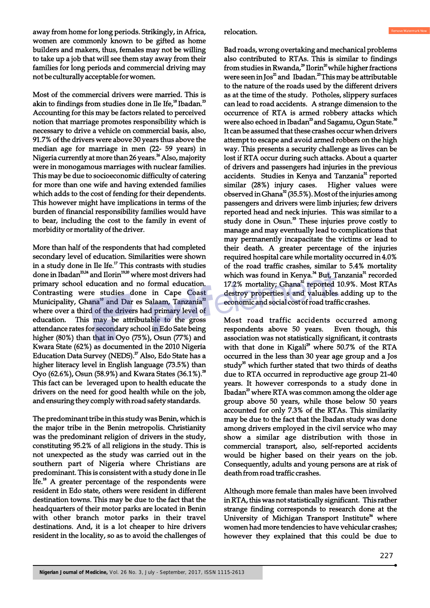away from home for long periods. Strikingly, in Africa, women are commonly known to be gifted as home builders and makers, thus, females may not be willing to take up a job that will see them stay away from their families for long periods and commercial driving may not be culturally acceptable for women.

Most of the commercial drivers were married. This is akin to findings from studies done in Ile Ife, $^{18}$  Ibadan. $^{23}$ Accounting for this may be factors related to perceived notion that marriage promotes responsibility which is necessary to drive a vehicle on commercial basis, also, 91.7% of the drivers were above 30 years thus above the median age for marriage in men (22- 59 years) in Nigeria currently at more than 26 years.<sup>26</sup> Also, majority were in monogamous marriages with nuclear families. This may be due to socioeconomic difficulty of catering for more than one wife and having extended families which adds to the cost of fending for their dependents. This however might have implications in terms of the burden of financial responsibility families would have to bear, including the cost to the family in event of morbidity or mortality of the driver.

More than half of the respondents that had completed secondary level of education. Similarities were shown in a study done in Ile Ife.<sup> $17$ </sup> This contrasts with studies done in Ibadan<sup>23,24</sup> and Ilorin<sup>19,20</sup> where most drivers had primary school education and no formal education. Contrasting were studies done in Cape Coast Municipality, Ghana<sup>10</sup> and Dar es Salaam, Tanzania<sup>22</sup> where over a third of the drivers had primary level of education. This may be attributable to the gross attendance rates for secondary school in Edo Sate being higher (80%) than that in Oyo (75%), Osun (77%) and Kwara State (62%) as documented in the 2010 Nigeria Education Data Survey (NEDS).<sup>27</sup> Also, Edo State has a higher literacy level in English language (73.5%) than Oyo (62.6%), Osun (58.9%) and Kwara States (36.1%).<sup>28</sup> This fact can be leveraged upon to health educate the drivers on the need for good health while on the job, and ensuring they comply with road safety standards.

The predominant tribe in this study was Benin, which is the major tribe in the Benin metropolis. Christianity was the predominant religion of drivers in the study, constituting 95.2% of all religions in the study. This is not unexpected as the study was carried out in the southern part of Nigeria where Christians are predominant. This is consistent with a study done in Ile Ife.<sup>18</sup> A greater percentage of the respondents were resident in Edo state, others were resident in different destination towns. This may be due to the fact that the headquarters of their motor parks are located in Benin with other branch motor parks in their travel destinations. And, it is a lot cheaper to hire drivers resident in the locality, so as to avoid the challenges of relocation.

Bad roads, wrong overtaking and mechanical problems also contributed to RTAs. This is similar to findings from studies in Rwanda, $^{29}$  Ilorin $^{20}$  while higher fractions were seen in Jos<sup>21</sup> and Ibadan.<sup>23</sup> This may be attributable to the nature of the roads used by the different drivers as at the time of the study. Potholes, slippery surfaces can lead to road accidents. A strange dimension to the occurrence of RTA is armed robbery attacks which were also echoed in Ibadan<sup>23</sup> and Sagamu, Ogun State.<sup>30</sup> It can be assumed that these crashes occur when drivers attempt to escape and avoid armed robbers on the high way. This presents a security challenge as lives can be lost if RTA occur during such attacks. About a quarter of drivers and passengers had injuries in the previous accidents. Studies in Kenya and Tanzania<sup>31</sup> reported similar (28%) injury cases. Higher values were observed in Ghana $^{32}$  (35.5%). Most of the injuries among passengers and drivers were limb injuries; few drivers reported head and neck injuries. This was similar to a study done in Osun.<sup>33</sup> These injuries prove costly to manage and may eventually lead to complications that may permanently incapacitate the victims or lead to their death. A greater percentage of the injuries required hospital care while mortality occurred in 4.0% of the road traffic crashes, similar to 5.4% mortality which was found in Kenya.<sup>34</sup> But, Tanzania<sup>31</sup> recorded 17.2% mortality; Ghana<sup>32</sup> reported 10.9%. Most RTAs destroy properties s and valuables adding up to the economic and social cost of road traffic crashes.

Most road traffic accidents occurred among respondents above 50 years. Even though, this association was not statistically significant, it contrasts with that done in Kigali $^{29}$  where 50.7% of the RTA occurred in the less than 30 year age group and a Jos study $35$  which further stated that two thirds of deaths due to RTA occurred in reproductive age group 21-40 years. It however corresponds to a study done in Ibadan $^2$  where RTA was common among the older age group above 50 years, while those below 50 years accounted for only 7.3% of the RTAs. This similarity may be due to the fact that the Ibadan study was done among drivers employed in the civil service who may show a similar age distribution with those in commercial transport, also, self-reported accidents would be higher based on their years on the job. Consequently, adults and young persons are at risk of death from road traffic crashes.

Although more female than males have been involved in RTA, this was not statistically significant. This rather strange finding corresponds to research done at the University of Michigan Transport Institute<sup>36</sup> where women had more tendencies to have vehicular crashes; however they explained that this could be due to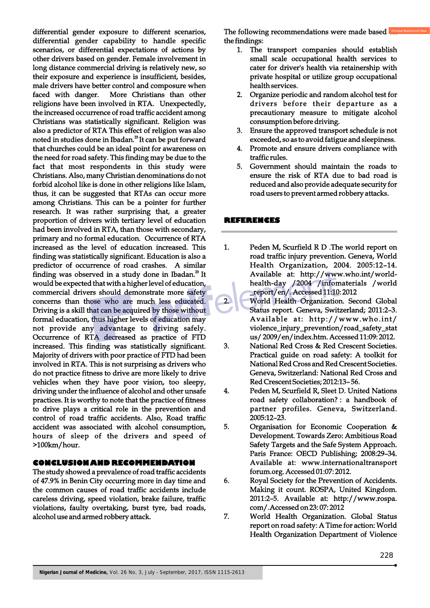differential gender exposure to different scenarios, differential gender capability to handle specific scenarios, or differential expectations of actions by other drivers based on gender. Female involvement in long distance commercial driving is relatively new, so their exposure and experience is insufficient, besides, male drivers have better control and composure when faced with danger. More Christians than other religions have been involved in RTA. Unexpectedly, the increased occurrence of road traffic accident among Christians was statistically significant. Religion was also a predictor of RTA This effect of religion was also noted in studies done in Ibadan.<sup>23</sup> It can be put forward that churches could be an ideal point for awareness on the need for road safety. This finding may be due to the fact that most respondents in this study were Christians. Also, many Christian denominations do not forbid alcohol like is done in other religions like Islam, thus, it can be suggested that RTAs can occur more among Christians. This can be a pointer for further research. It was rather surprising that, a greater proportion of drivers with tertiary level of education had been involved in RTA, than those with secondary, primary and no formal education. Occurrence of RTA increased as the level of education increased. This finding was statistically significant. Education is also a predictor of occurrence of road crashes. A similar finding was observed in a study done in Ibadan. $^{23}$  It would be expected that with a higher level of education, commercial drivers should demonstrate more safety concerns than those who are much less educated. Driving is a skill that can be acquired by those without formal education, thus higher levels of education may not provide any advantage to driving safely. Occurrence of RTA decreased as practice of FTD increased. This finding was statistically significant. Majority of drivers with poor practice of FTD had been involved in RTA. This is not surprising as drivers who do not practice fitness to drive are more likely to drive vehicles when they have poor vision, too sleepy, driving under the influence of alcohol and other unsafe practices. It is worthy to note that the practice of fitness to drive plays a critical role in the prevention and control of road traffic accidents. Also, Road traffic accident was associated with alcohol consumption, hours of sleep of the drivers and speed of >100km/hour.

## **CONCLUSION AND RECOMMENDATION**

The study showed a prevalence of road traffic accidents of 47.9% in Benin City occurring more in day time and the common causes of road traffic accidents include careless driving, speed violation, brake failure, traffic violations, faulty overtaking, burst tyre, bad roads, alcohol use and armed robbery attack.

The following recommendations were made based **RET** the findings:

- 1. The transport companies should establish small scale occupational health services to cater for driver's health via retainership with private hospital or utilize group occupational health services.
- 2. Organize periodic and random alcohol test for drivers before their departure as a precautionary measure to mitigate alcohol consumption before driving.
- 3. Ensure the approved transport schedule is not exceeded, so as to avoid fatigue and sleepiness.
- 4. Promote and ensure drivers compliance with traffic rules.
- 5. Government should maintain the roads to ensure the risk of RTA due to bad road is reduced and also provide adequate security for road users to prevent armed robbery attacks.

#### **REFERENCES**

- 1. Peden M, Scurfield R D .The world report on road traffic injury prevention. Geneva, World Health Organization, 2004. 2005:12–14. Available at: http://www.who.int/worldhealth-day /2004 /infomaterials /world \_report/en/. Accessed 11:10: 2012
- 2. World Health Organization. Second Global Status report. Geneva, Switzerland; 2011:2–3. Available at: http://www.who.int/ violence\_injury\_prevention/road\_safety\_stat us/ 2009/en/index.htm. Accessed 11:09: 2012.
- 3. National Red Cross & Red Crescent Societies. Practical guide on road safety: A toolkit for National Red Cross and Red Crescent Societies. Geneva, Switzerland: National Red Cross and Red Crescent Societies; 2012:13– 56.
- 4. Peden M, Scurfield R, Sleet D. United Nations road safety collaboration? : a handbook of partner profiles. Geneva, Switzerland. 2005:12–23.
- 5. Organisation for Economic Cooperation & Development. Towards Zero: Ambitious Road Safety Targets and the Safe System Approach. Paris France: OECD Publishing; 2008:29–34. Available at: www.internationaltransport forum.org. Accessed 01:07: 2012.
- 6. Royal Society for the Prevention of Accidents. Making it count. ROSPA, United Kingdom. 2011:2–5. Available at: http://www.rospa. com/.Accessed on 23: 07: 2012
- 7. World Health Organization. Global Status report on road safety: A Time for action: World Health Organization Department of Violence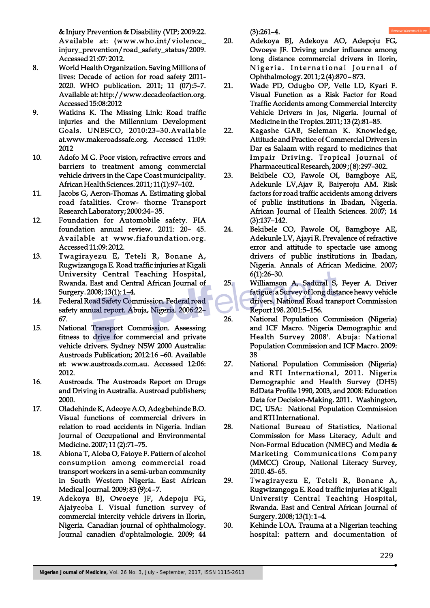& Injury Prevention & Disability (VIP; 2009:22. Available at: (www.who.int/violence\_ injury\_prevention/road\_safety\_status/2009. Accessed 21:07: 2012.

- 8. World Health Organization. Saving Millions of lives: Decade of action for road safety 2011- 2020. WHO publication. 2011; 11 (07):5–7. Available at: http://www.decadeofaction.org. Accessed 15:08:2012
- 9. Watkins K. The Missing Link: Road traffic injuries and the Millennium Development Goals. UNESCO, 2010:23–30.Available at.www.makeroadssafe.org. Accessed 11:09: 2012
- 10. Adofo M G. Poor vision, refractive errors and barriers to treatment among commercial vehicle drivers in the Cape Coast municipality. African Health Sciences. 2011; 11(1):97–102.
- 11. Jacobs G, Aeron-Thomas A. Estimating global road fatalities. Crow- thorne Transport Research Laboratory; 2000:34– 35.
- 12. Foundation for Automobile safety. FIA foundation annual review. 2011: 20– 45. Available at www.fiafoundation.org. Accessed 11:09: 2012.
- 13. Twagirayezu E, Teteli R, Bonane A, Rugwizangoga E. Road traffic injuries at Kigali University Central Teaching Hospital, Rwanda. East and Central African Journal of Surgery. 2008; 13(1): 1–4.
- 14. Federal Road Safety Commission. Federal road safety annual report. Abuja, Nigeria. 2006:22– 67.
- 15. National Transport Commission. Assessing fitness to drive for commercial and private vehicle drivers. Sydney NSW 2000 Australia: Austroads Publication; 2012:16 –60. Available at: www.austroads.com.au. Accessed 12:06: 2012.
- 16. Austroads. The Austroads Report on Drugs and Driving in Australia. Austroad publishers; 2000.
- 17. Oladehinde K, Adeoye A.O, Adegbehinde B.O. Visual functions of commercial drivers in relation to road accidents in Nigeria. Indian Journal of Occupational and Environmental Medicine. 2007; 11 (2):71–75.
- 18. Abiona T, Aloba O, Fatoye F. Pattern of alcohol consumption among commercial road transport workers in a semi-urban community in South Western Nigeria. East African Medical Journal. 2009; 83 (9):4 - 7.
- 19. Adekoya BJ, Owoeye JF, Adepoju FG, Ajaiyeoba I. Visual function survey of commercial intercity vehicle drivers in Ilorin, Nigeria. Canadian journal of ophthalmology. Journal canadien d'ophtalmologie. 2009; 44

(3):261–4.

- 20. Adekoya BJ, Adekoya AO, Adepoju FG, Owoeye JF. Driving under influence among long distance commercial drivers in Ilorin, Nigeria. International Journal of Ophthalmology. 2011; 2 (4):870 – 873.
- 21. Wade PD, Odugbo OP, Velle LD, Kyari F. Visual Function as a Risk Factor for Road Traffic Accidents among Commercial Intercity Vehicle Drivers in Jos, Nigeria. Journal of Medicine in the Tropics. 2011; 13 (2):81–85.
- 22. Kagashe GAB, Seleman K. Knowledge, Attitude and Practice of Commercial Drivers in Dar es Salaam with regard to medicines that Impair Driving. Tropical Journal of Pharmaceutical Research, 2009 ;( 8):297–302.
- 23. Bekibele CO, Fawole OI, Bamgboye AE, Adekunle LV,Ajav R, Baiyeroju AM. Risk factors for road traffic accidents among drivers of public institutions in Ibadan, Nigeria. African Journal of Health Sciences. 2007; 14 (3):137–142.
- 24. Bekibele CO, Fawole OI, Bamgboye AE, Adekunle LV, Ajayi R. Prevalence of refractive error and attitude to spectacle use among drivers of public institutions in Ibadan, Nigeria. Annals of African Medicine. 2007; 6(1):26–30.
- 25. Williamson A, Sadural S, Feyer A. Driver fatigue: a Survey of long distance heavy vehicle drivers. National Road transport Commission Report 198. 2001:5–156.
- 26. National Population Commission (Nigeria) and ICF Macro. 'Nigeria Demographic and Health Survey 2008'. Abuja: National Population Commission and ICF Macro. 2009: 38
- 27. National Population Commission (Nigeria) and RTI International, 2011. Nigeria Demographic and Health Survey (DHS) EdData Profile 1990, 2003, and 2008: Education Data for Decision-Making. 2011. Washington, DC, USA: National Population Commission and RTI International.
- 28. National Bureau of Statistics, National Commission for Mass Literacy, Adult and Non-Formal Education (NMEC) and Media & Marketing Communications Company (MMCC) Group, National Literacy Survey, 2010. 45- 65.
- 29. Twagirayezu E, Teteli R, Bonane A, Rugwizangoga E. Road traffic injuries at Kigali University Central Teaching Hospital, Rwanda. East and Central African Journal of Surgery. 2008; 13(1): 1–4.
- 30. Kehinde LOA. Trauma at a Nigerian teaching hospital: pattern and documentation of